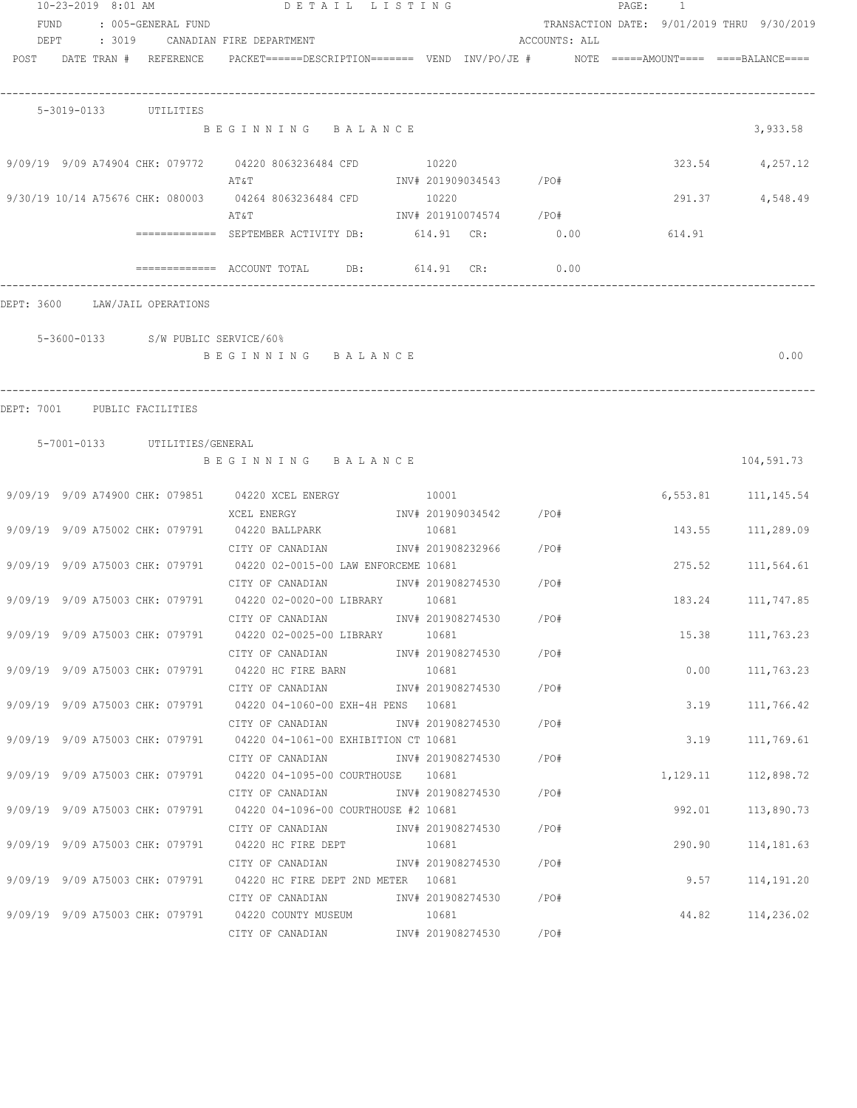| 10-23-2019 8:01 AM |      |  | DETAIL LISTING |                               |                                      |                                                                                                                                   |  |       | PAGE:                  | $\overline{1}$ |  |        |                                                                                                                 |
|--------------------|------|--|----------------|-------------------------------|--------------------------------------|-----------------------------------------------------------------------------------------------------------------------------------|--|-------|------------------------|----------------|--|--------|-----------------------------------------------------------------------------------------------------------------|
|                    | FUND |  |                | : 005-GENERAL FUND            |                                      |                                                                                                                                   |  |       |                        |                |  |        | TRANSACTION DATE: 9/01/2019 THRU 9/30/2019                                                                      |
|                    |      |  |                |                               | DEPT : 3019 CANADIAN FIRE DEPARTMENT |                                                                                                                                   |  |       |                        | ACCOUNTS: ALL  |  |        |                                                                                                                 |
|                    |      |  |                |                               |                                      |                                                                                                                                   |  |       |                        |                |  |        | POST DATE TRAN # REFERENCE PACKET======DESCRIPTION======= VEND INV/PO/JE # NOTE =====AMOUNT==== ====BALANCE==== |
|                    |      |  |                |                               |                                      |                                                                                                                                   |  |       |                        |                |  |        |                                                                                                                 |
|                    |      |  |                |                               |                                      |                                                                                                                                   |  |       |                        |                |  |        |                                                                                                                 |
|                    |      |  |                | 5-3019-0133 UTILITIES         |                                      |                                                                                                                                   |  |       |                        |                |  |        |                                                                                                                 |
|                    |      |  |                |                               |                                      | BEGINNING BALANCE                                                                                                                 |  |       |                        |                |  |        | 3,933.58                                                                                                        |
|                    |      |  |                |                               |                                      |                                                                                                                                   |  |       |                        |                |  |        |                                                                                                                 |
|                    |      |  |                |                               |                                      | 9/09/19 9/09 A74904 CHK: 079772 04220 8063236484 CFD 10220                                                                        |  |       |                        |                |  |        | 323.54 4,257.12                                                                                                 |
|                    |      |  |                |                               | AT&T                                 | INV# 201909034543 /PO#                                                                                                            |  |       |                        |                |  |        |                                                                                                                 |
|                    |      |  |                |                               |                                      | 9/30/19 10/14 A75676 CHK: 080003 04264 8063236484 CFD 10220                                                                       |  |       |                        |                |  | 291.37 | 4,548.49                                                                                                        |
|                    |      |  |                |                               | AT&T                                 |                                                                                                                                   |  |       | INV# 201910074574 /PO# |                |  |        |                                                                                                                 |
|                    |      |  |                |                               |                                      | ============= SEPTEMBER ACTIVITY DB: 614.91 CR: 0.00                                                                              |  |       |                        |                |  | 614.91 |                                                                                                                 |
|                    |      |  |                |                               |                                      | $\overline{\phantom{0}}$ ============= ACCOUNT TOTAL DB: 614.91 CR: 0.00                                                          |  |       |                        |                |  |        |                                                                                                                 |
|                    |      |  |                |                               |                                      |                                                                                                                                   |  |       |                        |                |  |        |                                                                                                                 |
| DEPT: 3600         |      |  |                | LAW/JAIL OPERATIONS           |                                      |                                                                                                                                   |  |       |                        |                |  |        |                                                                                                                 |
|                    |      |  |                |                               |                                      |                                                                                                                                   |  |       |                        |                |  |        |                                                                                                                 |
|                    |      |  |                |                               | 5-3600-0133 S/W PUBLIC SERVICE/60%   |                                                                                                                                   |  |       |                        |                |  |        |                                                                                                                 |
|                    |      |  |                |                               |                                      | BEGINNING BALANCE                                                                                                                 |  |       |                        |                |  |        | 0.00                                                                                                            |
|                    |      |  |                |                               |                                      |                                                                                                                                   |  |       |                        |                |  |        |                                                                                                                 |
|                    |      |  |                |                               |                                      |                                                                                                                                   |  |       |                        |                |  |        |                                                                                                                 |
|                    |      |  |                | DEPT: 7001 PUBLIC FACILITIES  |                                      |                                                                                                                                   |  |       |                        |                |  |        |                                                                                                                 |
|                    |      |  |                |                               |                                      |                                                                                                                                   |  |       |                        |                |  |        |                                                                                                                 |
|                    |      |  |                | 5-7001-0133 UTILITIES/GENERAL |                                      |                                                                                                                                   |  |       |                        |                |  |        |                                                                                                                 |
|                    |      |  |                |                               |                                      | BEGINNING BALANCE                                                                                                                 |  |       |                        |                |  |        | 104,591.73                                                                                                      |
|                    |      |  |                |                               |                                      | 9/09/19 9/09 A74900 CHK: 079851 04220 XCEL ENERGY 10001 10001                                                                     |  |       |                        |                |  |        | 6,553.81 111,145.54                                                                                             |
|                    |      |  |                |                               |                                      |                                                                                                                                   |  |       |                        |                |  |        |                                                                                                                 |
|                    |      |  |                |                               |                                      | XCEL ENERGY 67 1NV# 201909034542 / PO#<br>9/09/19 9/09 A75002 CHK: 079791 04220 BALLPARK 10681                                    |  |       |                        |                |  | 143.55 | 111,289.09                                                                                                      |
|                    |      |  |                |                               |                                      | CITY OF CANADIAN                                                                                                                  |  |       | INV# 201908232966 /PO# |                |  |        |                                                                                                                 |
|                    |      |  |                |                               |                                      | 9/09/19 9/09 A75003 CHK: 079791 04220 02-0015-00 LAW ENFORCEME 10681                                                              |  |       |                        |                |  | 275.52 | 111,564.61                                                                                                      |
|                    |      |  |                |                               |                                      |                                                                                                                                   |  |       |                        |                |  |        |                                                                                                                 |
|                    |      |  |                |                               |                                      | CITY OF CANADIAN                 INV# 201908274530         /PO#<br>9/09/19 9/09 A75003 CHK: 079791 04220 02-0020-00 LIBRARY 10681 |  |       |                        |                |  |        | 183.24 111,747.85                                                                                               |
|                    |      |  |                |                               |                                      |                                                                                                                                   |  |       |                        |                |  |        |                                                                                                                 |
|                    |      |  |                |                               |                                      | CITY OF CANADIAN 6 1NV# 201908274530 / PO#                                                                                        |  |       |                        |                |  |        |                                                                                                                 |
|                    |      |  |                |                               |                                      | 9/09/19 9/09 A75003 CHK: 079791 04220 02-0025-00 LIBRARY                                                                          |  | 10681 |                        |                |  |        | 15.38 111,763.23                                                                                                |
|                    |      |  |                |                               |                                      | CITY OF CANADIAN 6 1NV# 201908274530 / PO#                                                                                        |  |       |                        |                |  |        |                                                                                                                 |
|                    |      |  |                |                               |                                      | 9/09/19 9/09 A75003 CHK: 079791 04220 HC FIRE BARN                                                                                |  | 10681 |                        |                |  | 0.00   | 111,763.23                                                                                                      |
|                    |      |  |                |                               |                                      | CITY OF CANADIAN                                                                                                                  |  |       | INV# 201908274530 /PO# |                |  |        |                                                                                                                 |
|                    |      |  |                |                               |                                      | 9/09/19 9/09 A75003 CHK: 079791 04220 04-1060-00 EXH-4H PENS 10681                                                                |  |       |                        |                |  | 3.19   | 111,766.42                                                                                                      |
|                    |      |  |                |                               |                                      | CITY OF CANADIAN 1NV# 201908274530 / PO#                                                                                          |  |       |                        |                |  |        |                                                                                                                 |
|                    |      |  |                |                               |                                      | 9/09/19 9/09 A75003 CHK: 079791 04220 04-1061-00 EXHIBITION CT 10681                                                              |  |       |                        |                |  | 3.19   | 111,769.61                                                                                                      |
|                    |      |  |                |                               |                                      | CITY OF CANADIAN 1NV# 201908274530 / PO#                                                                                          |  |       |                        |                |  |        |                                                                                                                 |
|                    |      |  |                |                               |                                      | 9/09/19 9/09 A75003 CHK: 079791 04220 04-1095-00 COURTHOUSE 10681                                                                 |  |       |                        |                |  |        | 1, 129.11 112, 898.72                                                                                           |
|                    |      |  |                |                               |                                      |                                                                                                                                   |  |       |                        |                |  |        |                                                                                                                 |
|                    |      |  |                |                               |                                      | 9/09/19 9/09 A75003 CHK: 079791 04220 04-1096-00 COURTHOUSE #2 10681                                                              |  |       |                        |                |  | 992.01 | 113,890.73                                                                                                      |
|                    |      |  |                |                               |                                      | CITY OF CANADIAN                INV# 201908274530        /PO#                                                                     |  |       |                        |                |  |        |                                                                                                                 |
|                    |      |  |                |                               |                                      | 9/09/19 9/09 A75003 CHK: 079791 04220 HC FIRE DEPT 10681                                                                          |  |       |                        |                |  | 290.90 | 114,181.63                                                                                                      |
|                    |      |  |                |                               |                                      | CITY OF CANADIAN 1NV# 201908274530 / PO#                                                                                          |  |       |                        |                |  |        |                                                                                                                 |
|                    |      |  |                |                               |                                      | 9/09/19 9/09 A75003 CHK: 079791 04220 HC FIRE DEPT 2ND METER 10681                                                                |  |       |                        |                |  | 9.57   | 114,191.20                                                                                                      |
|                    |      |  |                |                               |                                      | CITY OF CANADIAN                                                                                                                  |  |       | INV# 201908274530 /PO# |                |  |        |                                                                                                                 |
|                    |      |  |                |                               |                                      | 9/09/19 9/09 A75003 CHK: 079791 04220 COUNTY MUSEUM                                                                               |  | 10681 |                        |                |  |        | 44.82 114,236.02                                                                                                |
|                    |      |  |                |                               |                                      | CITY OF CANADIAN 1NV# 201908274530 / PO#                                                                                          |  |       |                        |                |  |        |                                                                                                                 |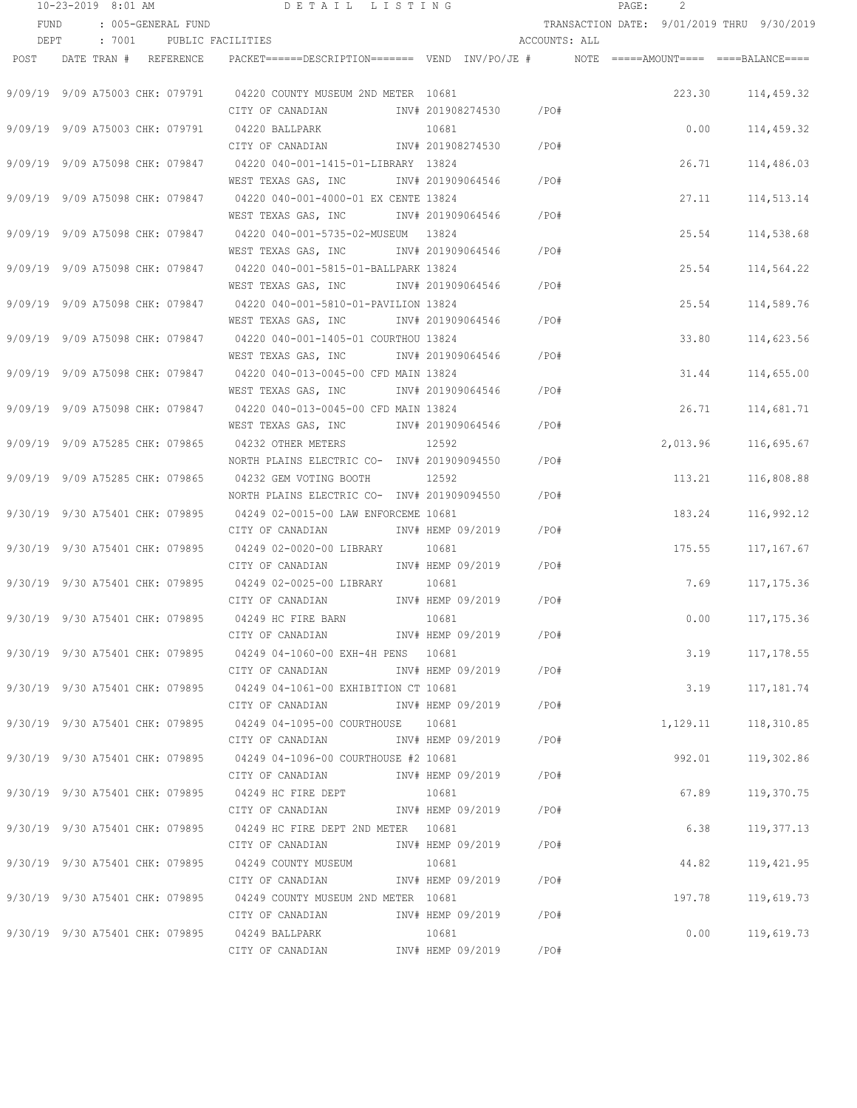|                                 | 10-23-2019 8:01 AM         |                    | DETAIL LISTING                                                                          |                   |                         |               | PAGE: | 2        |                                            |
|---------------------------------|----------------------------|--------------------|-----------------------------------------------------------------------------------------|-------------------|-------------------------|---------------|-------|----------|--------------------------------------------|
| FUND                            |                            | : 005-GENERAL FUND |                                                                                         |                   |                         |               |       |          | TRANSACTION DATE: 9/01/2019 THRU 9/30/2019 |
| DEPT                            | : 7001                     | PUBLIC FACILITIES  |                                                                                         |                   |                         | ACCOUNTS: ALL |       |          |                                            |
|                                 | POST DATE TRAN # REFERENCE |                    | PACKET======DESCRIPTION======= VEND INV/PO/JE #    NOTE =====AMOUNT==== ====BALANCE==== |                   |                         |               |       |          |                                            |
|                                 |                            |                    |                                                                                         |                   |                         |               |       |          |                                            |
|                                 |                            |                    | 9/09/19 9/09 A75003 CHK: 079791 04220 COUNTY MUSEUM 2ND METER 10681                     |                   |                         |               |       | 223.30   | 114,459.32                                 |
|                                 |                            |                    | CITY OF CANADIAN                                                                        |                   | INV# 201908274530 / PO# |               |       |          |                                            |
| 9/09/19 9/09 A75003 CHK: 079791 |                            |                    | 04220 BALLPARK                                                                          | 10681             |                         |               |       | 0.00     | 114,459.32                                 |
|                                 |                            |                    | CITY OF CANADIAN                                                                        |                   | INV# 201908274530       | /PO#          |       |          |                                            |
| 9/09/19 9/09 A75098 CHK: 079847 |                            |                    | 04220 040-001-1415-01-LIBRARY 13824                                                     |                   |                         |               |       | 26.71    | 114,486.03                                 |
|                                 |                            |                    | WEST TEXAS GAS, INC        INV# 201909064546     /PO#                                   |                   |                         |               |       |          |                                            |
| 9/09/19 9/09 A75098 CHK: 079847 |                            |                    | 04220 040-001-4000-01 EX CENTE 13824                                                    |                   |                         |               |       | 27.11    | 114,513.14                                 |
|                                 |                            |                    | WEST TEXAS GAS, INC MONTH 201909064546                                                  |                   |                         | $/$ PO#       |       |          |                                            |
|                                 |                            |                    | 9/09/19 9/09 A75098 CHK: 079847 04220 040-001-5735-02-MUSEUM 13824                      |                   |                         |               |       | 25.54    | 114,538.68                                 |
|                                 |                            |                    | WEST TEXAS GAS, INC MOTH 201909064546 / PO#                                             |                   |                         |               |       |          |                                            |
|                                 |                            |                    | 9/09/19 9/09 A75098 CHK: 079847 04220 040-001-5815-01-BALLPARK 13824                    |                   |                         |               |       | 25.54    | 114,564.22                                 |
|                                 |                            |                    | WEST TEXAS GAS, INC MONTH 201909064546 / PO#                                            |                   |                         |               |       |          |                                            |
|                                 |                            |                    | 9/09/19 9/09 A75098 CHK: 079847 04220 040-001-5810-01-PAVILION 13824                    |                   |                         |               |       | 25.54    | 114,589.76                                 |
|                                 |                            |                    | WEST TEXAS GAS, INC METALLY# 201909064546 / PO#                                         |                   |                         |               |       |          |                                            |
|                                 |                            |                    | 9/09/19 9/09 A75098 CHK: 079847 04220 040-001-1405-01 COURTHOU 13824                    |                   |                         |               |       | 33.80    | 114,623.56                                 |
|                                 |                            |                    | WEST TEXAS GAS, INC                                                                     |                   | INV# 201909064546       | $/$ PO#       |       |          |                                            |
|                                 |                            |                    | 9/09/19 9/09 A75098 CHK: 079847 04220 040-013-0045-00 CFD MAIN 13824                    |                   |                         |               |       | 31.44    | 114,655.00                                 |
|                                 |                            |                    | WEST TEXAS GAS, INC                                                                     |                   | INV# 201909064546       | /PO#          |       |          |                                            |
| 9/09/19 9/09 A75098 CHK: 079847 |                            |                    | 04220 040-013-0045-00 CFD MAIN 13824                                                    |                   |                         |               |       | 26.71    | 114,681.71                                 |
|                                 |                            |                    | WEST TEXAS GAS, INC                                                                     | INV# 201909064546 |                         | /PO#          |       |          |                                            |
| 9/09/19 9/09 A75285 CHK: 079865 |                            |                    | 04232 OTHER METERS                                                                      | 12592             |                         |               |       | 2,013.96 | 116,695.67                                 |
|                                 |                            |                    | NORTH PLAINS ELECTRIC CO- INV# 201909094550                                             |                   |                         | /PO#          |       |          |                                            |
| 9/09/19 9/09 A75285 CHK: 079865 |                            |                    | 04232 GEM VOTING BOOTH                                                                  | 12592             |                         |               |       | 113.21   | 116,808.88                                 |
|                                 |                            |                    | NORTH PLAINS ELECTRIC CO- INV# 201909094550                                             |                   |                         | $/$ PO#       |       |          |                                            |
|                                 |                            |                    | 9/30/19 9/30 A75401 CHK: 079895 04249 02-0015-00 LAW ENFORCEME 10681                    |                   |                         |               |       | 183.24   | 116,992.12                                 |
|                                 |                            |                    | CITY OF CANADIAN                                                                        | INV# HEMP 09/2019 |                         | /PO#          |       |          |                                            |
| 9/30/19 9/30 A75401 CHK: 079895 |                            |                    | 04249 02-0020-00 LIBRARY                                                                | 10681             |                         |               |       | 175.55   | 117,167.67                                 |
|                                 |                            |                    | CITY OF CANADIAN                                                                        | INV# HEMP 09/2019 |                         | /PO#          |       |          |                                            |
| 9/30/19 9/30 A75401 CHK: 079895 |                            |                    | 04249 02-0025-00 LIBRARY                                                                | 10681             |                         |               |       | 7.69     | 117, 175.36                                |
|                                 |                            |                    | CITY OF CANADIAN MENV# HEMP 09/2019                                                     |                   |                         | /PO#          |       |          |                                            |
| 9/30/19 9/30 A75401 CHK: 079895 |                            |                    | 04249 HC FIRE BARN                                                                      | 10681             |                         |               |       | 0.00     | 117, 175.36                                |
|                                 |                            |                    | CITY OF CANADIAN                                                                        |                   | INV# HEMP 09/2019       | /PO#          |       |          |                                            |
|                                 |                            |                    | 9/30/19 9/30 A75401 CHK: 079895 04249 04-1060-00 EXH-4H PENS 10681                      |                   |                         |               |       |          | 3.19 117,178.55                            |
|                                 |                            |                    | CITY OF CANADIAN                                                                        |                   | INV# HEMP 09/2019 / PO# |               |       |          |                                            |
|                                 |                            |                    | 9/30/19 9/30 A75401 CHK: 079895 04249 04-1061-00 EXHIBITION CT 10681                    |                   |                         |               |       | 3.19     | 117,181.74                                 |
|                                 |                            |                    | CITY OF CANADIAN                                                                        | INV# HEMP 09/2019 |                         | $/$ PO#       |       |          |                                            |
|                                 |                            |                    | 9/30/19 9/30 A75401 CHK: 079895 04249 04-1095-00 COURTHOUSE 10681                       |                   |                         |               |       |          | 1,129.11 118,310.85                        |
|                                 |                            |                    | CITY OF CANADIAN                                                                        | INV# HEMP 09/2019 |                         | $/$ PO#       |       |          |                                            |
|                                 |                            |                    | 9/30/19 9/30 A75401 CHK: 079895 04249 04-1096-00 COURTHOUSE #2 10681                    |                   |                         |               |       |          | 992.01 119,302.86                          |
|                                 |                            |                    | CITY OF CANADIAN                                                                        |                   | INV# HEMP 09/2019       | / PO#         |       |          |                                            |
|                                 |                            |                    | 9/30/19 9/30 A75401 CHK: 079895 04249 HC FIRE DEPT                                      | 10681             |                         |               |       | 67.89    | 119,370.75                                 |
|                                 |                            |                    | CITY OF CANADIAN                                                                        | INV# HEMP 09/2019 |                         | /PO#          |       |          |                                            |
|                                 |                            |                    | 9/30/19 9/30 A75401 CHK: 079895 04249 HC FIRE DEPT 2ND METER 10681                      |                   |                         |               |       | 6.38     | 119,377.13                                 |
|                                 |                            |                    | CITY OF CANADIAN                                                                        | INV# HEMP 09/2019 |                         | $/$ PO#       |       |          |                                            |
|                                 |                            |                    | 9/30/19 9/30 A75401 CHK: 079895 04249 COUNTY MUSEUM                                     | 10681             |                         |               |       | 44.82    | 119,421.95                                 |
|                                 |                            |                    | CITY OF CANADIAN MENV# HEMP 09/2019 / PO#                                               |                   |                         |               |       |          |                                            |
|                                 |                            |                    | 9/30/19 9/30 A75401 CHK: 079895 04249 COUNTY MUSEUM 2ND METER 10681                     |                   |                         |               |       | 197.78   | 119,619.73                                 |
|                                 |                            |                    | CITY OF CANADIAN              INV# HEMP 09/2019       /PO#                              |                   |                         |               |       |          |                                            |
|                                 |                            |                    | 9/30/19 9/30 A75401 CHK: 079895 04249 BALLPARK                                          | 10681             |                         |               |       |          | $0.00$ 119,619.73                          |
|                                 |                            |                    | CITY OF CANADIAN MENV# HEMP 09/2019 / PO#                                               |                   |                         |               |       |          |                                            |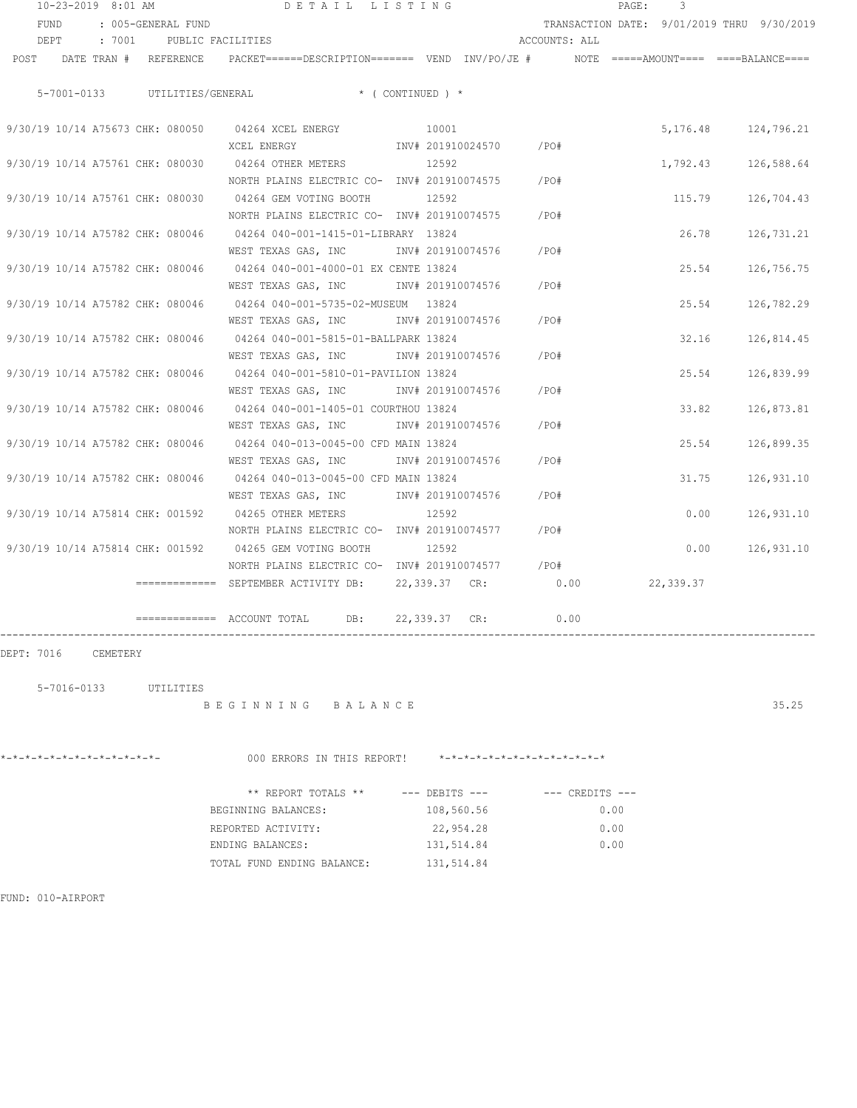| 10-23-2019 8:01 AM                                                    | DETAIL LISTING                                                                                             |                   |               | PAGE:<br>3                                 |            |
|-----------------------------------------------------------------------|------------------------------------------------------------------------------------------------------------|-------------------|---------------|--------------------------------------------|------------|
| FUND<br>: 005-GENERAL FUND                                            |                                                                                                            |                   |               | TRANSACTION DATE: 9/01/2019 THRU 9/30/2019 |            |
| DEPT<br>: 7001<br>PUBLIC FACILITIES                                   |                                                                                                            |                   | ACCOUNTS: ALL |                                            |            |
| POST                                                                  | DATE TRAN # REFERENCE PACKET======DESCRIPTION======= VEND INV/PO/JE # NOTE =====AMOUNT==== ====BALANCE==== |                   |               |                                            |            |
| 5-7001-0133                                                           | UTILITIES/GENERAL * (CONTINUED ) *                                                                         |                   |               |                                            |            |
| 9/30/19 10/14 A75673 CHK: 080050 04264 XCEL ENERGY                    |                                                                                                            | 10001             |               | 5,176.48                                   | 124,796.21 |
|                                                                       | XCEL ENERGY                                                                                                | INV# 201910024570 | /PO#          |                                            |            |
| 9/30/19 10/14 A75761 CHK: 080030                                      | 04264 OTHER METERS                                                                                         | 12592             |               | 1,792.43                                   | 126,588.64 |
|                                                                       | NORTH PLAINS ELECTRIC CO- INV# 201910074575                                                                |                   | /PO#          |                                            |            |
| 9/30/19 10/14 A75761 CHK: 080030 04264 GEM VOTING BOOTH               |                                                                                                            | 12592             |               | 115.79                                     | 126,704.43 |
|                                                                       | NORTH PLAINS ELECTRIC CO- INV# 201910074575                                                                |                   | /PO#          |                                            |            |
| 9/30/19 10/14 A75782 CHK: 080046 04264 040-001-1415-01-LIBRARY 13824  |                                                                                                            |                   |               | 26.78                                      | 126,731.21 |
|                                                                       | WEST TEXAS GAS, INC                                                                                        | INV# 201910074576 | /PO#          |                                            |            |
| 9/30/19 10/14 A75782 CHK: 080046 04264 040-001-4000-01 EX CENTE 13824 |                                                                                                            |                   |               | 25.54                                      | 126,756.75 |
|                                                                       | WEST TEXAS GAS, INC                                                                                        | INV# 201910074576 | /PO#          |                                            |            |
| 9/30/19 10/14 A75782 CHK: 080046 04264 040-001-5735-02-MUSEUM 13824   |                                                                                                            |                   |               | 25.54                                      | 126,782.29 |
|                                                                       | WEST TEXAS GAS, INC MONTH 201910074576                                                                     |                   | /PO#          |                                            |            |
| 9/30/19 10/14 A75782 CHK: 080046 04264 040-001-5815-01-BALLPARK 13824 |                                                                                                            |                   |               | 32.16                                      | 126,814.45 |
|                                                                       | WEST TEXAS GAS, INC MONTH 201910074576                                                                     |                   | /PO#          |                                            |            |
| 9/30/19 10/14 A75782 CHK: 080046                                      | 04264 040-001-5810-01-PAVILION 13824                                                                       |                   |               | 25.54                                      | 126,839.99 |
|                                                                       | WEST TEXAS GAS, INC MONTH 201910074576                                                                     |                   | /PO#          |                                            |            |
| 9/30/19 10/14 A75782 CHK: 080046                                      | 04264 040-001-1405-01 COURTHOU 13824                                                                       |                   |               | 33.82                                      | 126,873.81 |
|                                                                       | WEST TEXAS GAS, INC NOT INV# 201910074576                                                                  |                   | /PO#          |                                            |            |
| 9/30/19 10/14 A75782 CHK: 080046                                      | 04264 040-013-0045-00 CFD MAIN 13824                                                                       |                   |               | 25.54                                      | 126,899.35 |
|                                                                       | WEST TEXAS GAS, INC NOT INV# 201910074576                                                                  |                   | /PO#          |                                            |            |
| 9/30/19 10/14 A75782 CHK: 080046 04264 040-013-0045-00 CFD MAIN 13824 |                                                                                                            |                   |               | 31.75                                      | 126,931.10 |
|                                                                       | WEST TEXAS GAS, INC MOTH 201910074576                                                                      |                   | /PO#          |                                            |            |
| 9/30/19 10/14 A75814 CHK: 001592 04265 OTHER METERS                   |                                                                                                            | 12592             |               | 0.00                                       | 126,931.10 |
|                                                                       | NORTH PLAINS ELECTRIC CO- INV# 201910074577                                                                |                   | /PO#          |                                            |            |
| 9/30/19 10/14 A75814 CHK: 001592 04265 GEM VOTING BOOTH               |                                                                                                            | 12592             |               | 0.00                                       | 126,931.10 |
|                                                                       | NORTH PLAINS ELECTRIC CO- INV# 201910074577                                                                |                   | /PO#          |                                            |            |
|                                                                       | ============ SEPTEMBER ACTIVITY DB: 22,339.37 CR:                                                          |                   | 0.00          | 22,339.37                                  |            |
|                                                                       | $\overline{\phantom{z}}$ ============== ACCOUNT TOTAL DB:                                                  | 22,339.37 CR:     | 0.00          |                                            |            |
| DEPT: 7016<br>CEMETERY<br>5-7016-0133<br>UTILITIES                    |                                                                                                            |                   |               |                                            |            |

B E G I N N I N G B A L A N C E 35.25

\*-\*-\*-\*-\*-\*-\*-\*-\*-\*-\*-\*-\*- 000 ERRORS IN THIS REPORT! \*-\*-\*-\*-\*-\*-\*-\*-\*-\*-\*-\*-\*-\* \*\* REPORT TOTALS \*\*  $---$  DEBITS ---  $---$  CREDITS ---BEGINNING BALANCES: 108,560.56 0.00 REPORTED ACTIVITY: 22,954.28 0.00<br>
ENDING BALANCES: 131,514.84 0.00 ENDING BALANCES: 131,514.84 0.00 TOTAL FUND ENDING BALANCE: 131,514.84

FUND: 010-AIRPORT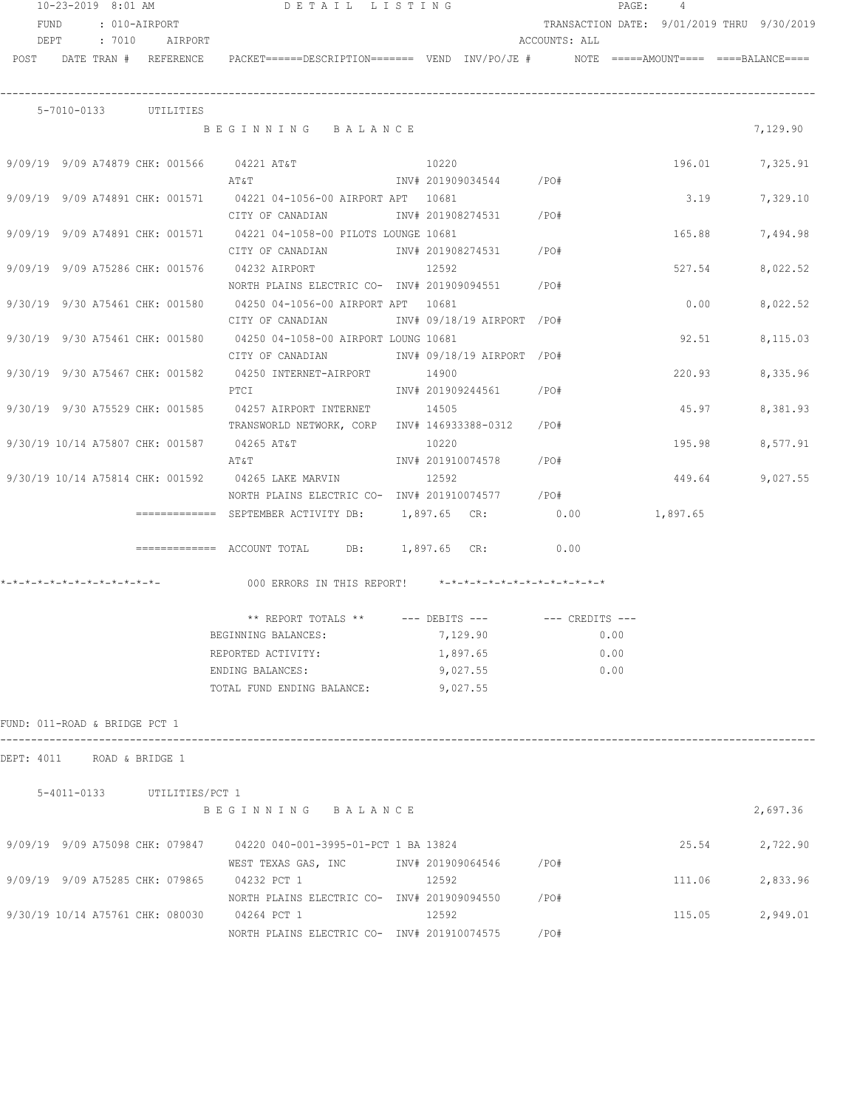| FUND<br>: 010-AIRPORT<br>TRANSACTION DATE: 9/01/2019 THRU 9/30/2019<br>: 7010 AIRPORT<br>DEPT<br>ACCOUNTS: ALL<br>POST DATE TRAN # REFERENCE<br>PACKET======DESCRIPTION======= VEND INV/PO/JE #     NOTE =====AMOUNT==== ====BALANCE====<br>5-7010-0133 UTILITIES<br>7,129.90<br>BEGINNING BALANCE<br>9/09/19 9/09 A74879 CHK: 001566 04221 AT&T<br>10220<br>196.01 7,325.91<br>INV# 201909034544 /PO#<br>ΑΤ&Τ<br>9/09/19 9/09 A74891 CHK: 001571 04221 04-1056-00 AIRPORT APT 10681<br>3.19<br>7,329.10<br>INV# 201908274531 /PO#<br>CITY OF CANADIAN<br>9/09/19 9/09 A74891 CHK: 001571 04221 04-1058-00 PILOTS LOUNGE 10681<br>165.88<br>7,494.98<br>CITY OF CANADIAN 1NV# 201908274531 /PO#<br>9/09/19 9/09 A75286 CHK: 001576 04232 AIRPORT<br>12592<br>527.54<br>8,022.52<br>NORTH PLAINS ELECTRIC CO- INV# 201909094551 / PO#<br>9/30/19 9/30 A75461 CHK: 001580 04250 04-1056-00 AIRPORT APT 10681<br>0.00<br>8,022.52<br>CITY OF CANADIAN               INV# 09/18/19 AIRPORT  /PO#<br>9/30/19 9/30 A75461 CHK: 001580 04250 04-1058-00 AIRPORT LOUNG 10681<br>92.51<br>8,115.03<br>INV# 09/18/19 AIRPORT /PO#<br>CITY OF CANADIAN<br>9/30/19 9/30 A75467 CHK: 001582<br>04250 INTERNET-AIRPORT<br>14900<br>220.93<br>8,335.96<br>INV# 201909244561 /PO#<br>PTCI<br>9/30/19 9/30 A75529 CHK: 001585<br>04257 AIRPORT INTERNET<br>14505<br>45.97<br>8,381.93<br>TRANSWORLD NETWORK, CORP INV# 146933388-0312 /PO#<br>9/30/19 10/14 A75807 CHK: 001587<br>04265 AT&T<br>10220<br>195.98<br>8,577.91<br>INV# 201910074578 /PO#<br>AT&T<br>9/30/19 10/14 A75814 CHK: 001592<br>12592<br>9,027.55<br>04265 LAKE MARVIN<br>449.64<br>NORTH PLAINS ELECTRIC CO- INV# 201910074577 / PO#<br>=============  SEPTEMBER ACTIVITY DB:        1,897.65   CR:                0.00<br>1,897.65<br>$\overline{\phantom{1}}$ ============= ACCOUNT TOTAL DB: 1,897.65 CR:<br>0.00<br>000 ERRORS IN THIS REPORT! *-*-*-*-*-*-*-*-*-*-*-*-*-*-<br>$**$ REPORT TOTALS $**$ --- DEBITS ---<br>$---$ CREDITS $---$<br>7,129.90<br>0.00<br>BEGINNING BALANCES:<br>0.00<br>1,897.65<br>REPORTED ACTIVITY:<br>9,027.55<br>0.00<br>ENDING BALANCES:<br>9,027.55<br>TOTAL FUND ENDING BALANCE:<br>FUND: 011-ROAD & BRIDGE PCT 1<br>DEPT: 4011<br>ROAD & BRIDGE 1<br>5-4011-0133 UTILITIES/PCT 1<br>2,697.36<br>BEGINNING BALANCE<br>9/09/19 9/09 A75098 CHK: 079847 04220 040-001-3995-01-PCT 1 BA 13824<br>25.54<br>2,722.90<br>WEST TEXAS GAS, INC        INV# 201909064546      /PO#<br>9/09/19 9/09 A75285 CHK: 079865 04232 PCT 1<br>12592<br>111.06<br>2,833.96<br>NORTH PLAINS ELECTRIC CO- INV# 201909094550<br>/PO#<br>9/30/19 10/14 A75761 CHK: 080030 04264 PCT 1<br>12592<br>2,949.01<br>115.05<br>NORTH PLAINS ELECTRIC CO- INV# 201910074575<br>/PO# |  |  | $10 - 23 - 2019$ 8:01 AM |  | DETAIL LISTING |  |  |  |  | PAGE: 4 |  |  |
|--------------------------------------------------------------------------------------------------------------------------------------------------------------------------------------------------------------------------------------------------------------------------------------------------------------------------------------------------------------------------------------------------------------------------------------------------------------------------------------------------------------------------------------------------------------------------------------------------------------------------------------------------------------------------------------------------------------------------------------------------------------------------------------------------------------------------------------------------------------------------------------------------------------------------------------------------------------------------------------------------------------------------------------------------------------------------------------------------------------------------------------------------------------------------------------------------------------------------------------------------------------------------------------------------------------------------------------------------------------------------------------------------------------------------------------------------------------------------------------------------------------------------------------------------------------------------------------------------------------------------------------------------------------------------------------------------------------------------------------------------------------------------------------------------------------------------------------------------------------------------------------------------------------------------------------------------------------------------------------------------------------------------------------------------------------------------------------------------------------------------------------------------------------------------------------------------------------------------------------------------------------------------------------------------------------------------------------------------------------------------------------------------------------------------------------------------------------------------------------------------------------------------------------------------------------------------------------------------------------------------------------------------------------------------------------------------------------------------------------------------|--|--|--------------------------|--|----------------|--|--|--|--|---------|--|--|
|                                                                                                                                                                                                                                                                                                                                                                                                                                                                                                                                                                                                                                                                                                                                                                                                                                                                                                                                                                                                                                                                                                                                                                                                                                                                                                                                                                                                                                                                                                                                                                                                                                                                                                                                                                                                                                                                                                                                                                                                                                                                                                                                                                                                                                                                                                                                                                                                                                                                                                                                                                                                                                                                                                                                                  |  |  |                          |  |                |  |  |  |  |         |  |  |
|                                                                                                                                                                                                                                                                                                                                                                                                                                                                                                                                                                                                                                                                                                                                                                                                                                                                                                                                                                                                                                                                                                                                                                                                                                                                                                                                                                                                                                                                                                                                                                                                                                                                                                                                                                                                                                                                                                                                                                                                                                                                                                                                                                                                                                                                                                                                                                                                                                                                                                                                                                                                                                                                                                                                                  |  |  |                          |  |                |  |  |  |  |         |  |  |
|                                                                                                                                                                                                                                                                                                                                                                                                                                                                                                                                                                                                                                                                                                                                                                                                                                                                                                                                                                                                                                                                                                                                                                                                                                                                                                                                                                                                                                                                                                                                                                                                                                                                                                                                                                                                                                                                                                                                                                                                                                                                                                                                                                                                                                                                                                                                                                                                                                                                                                                                                                                                                                                                                                                                                  |  |  |                          |  |                |  |  |  |  |         |  |  |
|                                                                                                                                                                                                                                                                                                                                                                                                                                                                                                                                                                                                                                                                                                                                                                                                                                                                                                                                                                                                                                                                                                                                                                                                                                                                                                                                                                                                                                                                                                                                                                                                                                                                                                                                                                                                                                                                                                                                                                                                                                                                                                                                                                                                                                                                                                                                                                                                                                                                                                                                                                                                                                                                                                                                                  |  |  |                          |  |                |  |  |  |  |         |  |  |
|                                                                                                                                                                                                                                                                                                                                                                                                                                                                                                                                                                                                                                                                                                                                                                                                                                                                                                                                                                                                                                                                                                                                                                                                                                                                                                                                                                                                                                                                                                                                                                                                                                                                                                                                                                                                                                                                                                                                                                                                                                                                                                                                                                                                                                                                                                                                                                                                                                                                                                                                                                                                                                                                                                                                                  |  |  |                          |  |                |  |  |  |  |         |  |  |
|                                                                                                                                                                                                                                                                                                                                                                                                                                                                                                                                                                                                                                                                                                                                                                                                                                                                                                                                                                                                                                                                                                                                                                                                                                                                                                                                                                                                                                                                                                                                                                                                                                                                                                                                                                                                                                                                                                                                                                                                                                                                                                                                                                                                                                                                                                                                                                                                                                                                                                                                                                                                                                                                                                                                                  |  |  |                          |  |                |  |  |  |  |         |  |  |
|                                                                                                                                                                                                                                                                                                                                                                                                                                                                                                                                                                                                                                                                                                                                                                                                                                                                                                                                                                                                                                                                                                                                                                                                                                                                                                                                                                                                                                                                                                                                                                                                                                                                                                                                                                                                                                                                                                                                                                                                                                                                                                                                                                                                                                                                                                                                                                                                                                                                                                                                                                                                                                                                                                                                                  |  |  |                          |  |                |  |  |  |  |         |  |  |
|                                                                                                                                                                                                                                                                                                                                                                                                                                                                                                                                                                                                                                                                                                                                                                                                                                                                                                                                                                                                                                                                                                                                                                                                                                                                                                                                                                                                                                                                                                                                                                                                                                                                                                                                                                                                                                                                                                                                                                                                                                                                                                                                                                                                                                                                                                                                                                                                                                                                                                                                                                                                                                                                                                                                                  |  |  |                          |  |                |  |  |  |  |         |  |  |
|                                                                                                                                                                                                                                                                                                                                                                                                                                                                                                                                                                                                                                                                                                                                                                                                                                                                                                                                                                                                                                                                                                                                                                                                                                                                                                                                                                                                                                                                                                                                                                                                                                                                                                                                                                                                                                                                                                                                                                                                                                                                                                                                                                                                                                                                                                                                                                                                                                                                                                                                                                                                                                                                                                                                                  |  |  |                          |  |                |  |  |  |  |         |  |  |
|                                                                                                                                                                                                                                                                                                                                                                                                                                                                                                                                                                                                                                                                                                                                                                                                                                                                                                                                                                                                                                                                                                                                                                                                                                                                                                                                                                                                                                                                                                                                                                                                                                                                                                                                                                                                                                                                                                                                                                                                                                                                                                                                                                                                                                                                                                                                                                                                                                                                                                                                                                                                                                                                                                                                                  |  |  |                          |  |                |  |  |  |  |         |  |  |
|                                                                                                                                                                                                                                                                                                                                                                                                                                                                                                                                                                                                                                                                                                                                                                                                                                                                                                                                                                                                                                                                                                                                                                                                                                                                                                                                                                                                                                                                                                                                                                                                                                                                                                                                                                                                                                                                                                                                                                                                                                                                                                                                                                                                                                                                                                                                                                                                                                                                                                                                                                                                                                                                                                                                                  |  |  |                          |  |                |  |  |  |  |         |  |  |
|                                                                                                                                                                                                                                                                                                                                                                                                                                                                                                                                                                                                                                                                                                                                                                                                                                                                                                                                                                                                                                                                                                                                                                                                                                                                                                                                                                                                                                                                                                                                                                                                                                                                                                                                                                                                                                                                                                                                                                                                                                                                                                                                                                                                                                                                                                                                                                                                                                                                                                                                                                                                                                                                                                                                                  |  |  |                          |  |                |  |  |  |  |         |  |  |
|                                                                                                                                                                                                                                                                                                                                                                                                                                                                                                                                                                                                                                                                                                                                                                                                                                                                                                                                                                                                                                                                                                                                                                                                                                                                                                                                                                                                                                                                                                                                                                                                                                                                                                                                                                                                                                                                                                                                                                                                                                                                                                                                                                                                                                                                                                                                                                                                                                                                                                                                                                                                                                                                                                                                                  |  |  |                          |  |                |  |  |  |  |         |  |  |
|                                                                                                                                                                                                                                                                                                                                                                                                                                                                                                                                                                                                                                                                                                                                                                                                                                                                                                                                                                                                                                                                                                                                                                                                                                                                                                                                                                                                                                                                                                                                                                                                                                                                                                                                                                                                                                                                                                                                                                                                                                                                                                                                                                                                                                                                                                                                                                                                                                                                                                                                                                                                                                                                                                                                                  |  |  |                          |  |                |  |  |  |  |         |  |  |
|                                                                                                                                                                                                                                                                                                                                                                                                                                                                                                                                                                                                                                                                                                                                                                                                                                                                                                                                                                                                                                                                                                                                                                                                                                                                                                                                                                                                                                                                                                                                                                                                                                                                                                                                                                                                                                                                                                                                                                                                                                                                                                                                                                                                                                                                                                                                                                                                                                                                                                                                                                                                                                                                                                                                                  |  |  |                          |  |                |  |  |  |  |         |  |  |
|                                                                                                                                                                                                                                                                                                                                                                                                                                                                                                                                                                                                                                                                                                                                                                                                                                                                                                                                                                                                                                                                                                                                                                                                                                                                                                                                                                                                                                                                                                                                                                                                                                                                                                                                                                                                                                                                                                                                                                                                                                                                                                                                                                                                                                                                                                                                                                                                                                                                                                                                                                                                                                                                                                                                                  |  |  |                          |  |                |  |  |  |  |         |  |  |
|                                                                                                                                                                                                                                                                                                                                                                                                                                                                                                                                                                                                                                                                                                                                                                                                                                                                                                                                                                                                                                                                                                                                                                                                                                                                                                                                                                                                                                                                                                                                                                                                                                                                                                                                                                                                                                                                                                                                                                                                                                                                                                                                                                                                                                                                                                                                                                                                                                                                                                                                                                                                                                                                                                                                                  |  |  |                          |  |                |  |  |  |  |         |  |  |
|                                                                                                                                                                                                                                                                                                                                                                                                                                                                                                                                                                                                                                                                                                                                                                                                                                                                                                                                                                                                                                                                                                                                                                                                                                                                                                                                                                                                                                                                                                                                                                                                                                                                                                                                                                                                                                                                                                                                                                                                                                                                                                                                                                                                                                                                                                                                                                                                                                                                                                                                                                                                                                                                                                                                                  |  |  |                          |  |                |  |  |  |  |         |  |  |
|                                                                                                                                                                                                                                                                                                                                                                                                                                                                                                                                                                                                                                                                                                                                                                                                                                                                                                                                                                                                                                                                                                                                                                                                                                                                                                                                                                                                                                                                                                                                                                                                                                                                                                                                                                                                                                                                                                                                                                                                                                                                                                                                                                                                                                                                                                                                                                                                                                                                                                                                                                                                                                                                                                                                                  |  |  |                          |  |                |  |  |  |  |         |  |  |
|                                                                                                                                                                                                                                                                                                                                                                                                                                                                                                                                                                                                                                                                                                                                                                                                                                                                                                                                                                                                                                                                                                                                                                                                                                                                                                                                                                                                                                                                                                                                                                                                                                                                                                                                                                                                                                                                                                                                                                                                                                                                                                                                                                                                                                                                                                                                                                                                                                                                                                                                                                                                                                                                                                                                                  |  |  |                          |  |                |  |  |  |  |         |  |  |
|                                                                                                                                                                                                                                                                                                                                                                                                                                                                                                                                                                                                                                                                                                                                                                                                                                                                                                                                                                                                                                                                                                                                                                                                                                                                                                                                                                                                                                                                                                                                                                                                                                                                                                                                                                                                                                                                                                                                                                                                                                                                                                                                                                                                                                                                                                                                                                                                                                                                                                                                                                                                                                                                                                                                                  |  |  |                          |  |                |  |  |  |  |         |  |  |
|                                                                                                                                                                                                                                                                                                                                                                                                                                                                                                                                                                                                                                                                                                                                                                                                                                                                                                                                                                                                                                                                                                                                                                                                                                                                                                                                                                                                                                                                                                                                                                                                                                                                                                                                                                                                                                                                                                                                                                                                                                                                                                                                                                                                                                                                                                                                                                                                                                                                                                                                                                                                                                                                                                                                                  |  |  |                          |  |                |  |  |  |  |         |  |  |
|                                                                                                                                                                                                                                                                                                                                                                                                                                                                                                                                                                                                                                                                                                                                                                                                                                                                                                                                                                                                                                                                                                                                                                                                                                                                                                                                                                                                                                                                                                                                                                                                                                                                                                                                                                                                                                                                                                                                                                                                                                                                                                                                                                                                                                                                                                                                                                                                                                                                                                                                                                                                                                                                                                                                                  |  |  |                          |  |                |  |  |  |  |         |  |  |
|                                                                                                                                                                                                                                                                                                                                                                                                                                                                                                                                                                                                                                                                                                                                                                                                                                                                                                                                                                                                                                                                                                                                                                                                                                                                                                                                                                                                                                                                                                                                                                                                                                                                                                                                                                                                                                                                                                                                                                                                                                                                                                                                                                                                                                                                                                                                                                                                                                                                                                                                                                                                                                                                                                                                                  |  |  |                          |  |                |  |  |  |  |         |  |  |
|                                                                                                                                                                                                                                                                                                                                                                                                                                                                                                                                                                                                                                                                                                                                                                                                                                                                                                                                                                                                                                                                                                                                                                                                                                                                                                                                                                                                                                                                                                                                                                                                                                                                                                                                                                                                                                                                                                                                                                                                                                                                                                                                                                                                                                                                                                                                                                                                                                                                                                                                                                                                                                                                                                                                                  |  |  |                          |  |                |  |  |  |  |         |  |  |
|                                                                                                                                                                                                                                                                                                                                                                                                                                                                                                                                                                                                                                                                                                                                                                                                                                                                                                                                                                                                                                                                                                                                                                                                                                                                                                                                                                                                                                                                                                                                                                                                                                                                                                                                                                                                                                                                                                                                                                                                                                                                                                                                                                                                                                                                                                                                                                                                                                                                                                                                                                                                                                                                                                                                                  |  |  |                          |  |                |  |  |  |  |         |  |  |
|                                                                                                                                                                                                                                                                                                                                                                                                                                                                                                                                                                                                                                                                                                                                                                                                                                                                                                                                                                                                                                                                                                                                                                                                                                                                                                                                                                                                                                                                                                                                                                                                                                                                                                                                                                                                                                                                                                                                                                                                                                                                                                                                                                                                                                                                                                                                                                                                                                                                                                                                                                                                                                                                                                                                                  |  |  |                          |  |                |  |  |  |  |         |  |  |
|                                                                                                                                                                                                                                                                                                                                                                                                                                                                                                                                                                                                                                                                                                                                                                                                                                                                                                                                                                                                                                                                                                                                                                                                                                                                                                                                                                                                                                                                                                                                                                                                                                                                                                                                                                                                                                                                                                                                                                                                                                                                                                                                                                                                                                                                                                                                                                                                                                                                                                                                                                                                                                                                                                                                                  |  |  |                          |  |                |  |  |  |  |         |  |  |
|                                                                                                                                                                                                                                                                                                                                                                                                                                                                                                                                                                                                                                                                                                                                                                                                                                                                                                                                                                                                                                                                                                                                                                                                                                                                                                                                                                                                                                                                                                                                                                                                                                                                                                                                                                                                                                                                                                                                                                                                                                                                                                                                                                                                                                                                                                                                                                                                                                                                                                                                                                                                                                                                                                                                                  |  |  |                          |  |                |  |  |  |  |         |  |  |
|                                                                                                                                                                                                                                                                                                                                                                                                                                                                                                                                                                                                                                                                                                                                                                                                                                                                                                                                                                                                                                                                                                                                                                                                                                                                                                                                                                                                                                                                                                                                                                                                                                                                                                                                                                                                                                                                                                                                                                                                                                                                                                                                                                                                                                                                                                                                                                                                                                                                                                                                                                                                                                                                                                                                                  |  |  |                          |  |                |  |  |  |  |         |  |  |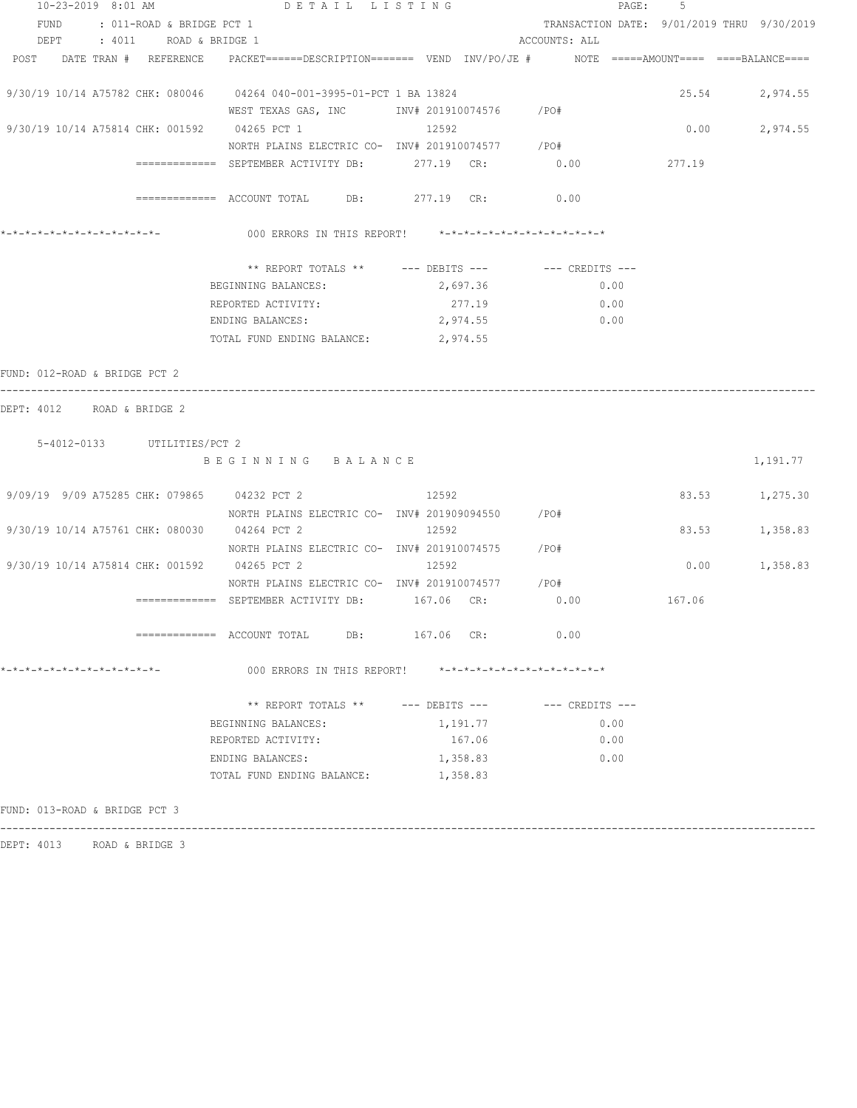| 10-23-2019 8:01 AM                                                                                              | DETAIL LISTING                                                    |          | PAGE:                                      | -5     |          |
|-----------------------------------------------------------------------------------------------------------------|-------------------------------------------------------------------|----------|--------------------------------------------|--------|----------|
| FUND<br>: 011-ROAD & BRIDGE PCT 1                                                                               |                                                                   |          | TRANSACTION DATE: 9/01/2019 THRU 9/30/2019 |        |          |
| DEPT : 4011 ROAD & BRIDGE 1                                                                                     |                                                                   |          | ACCOUNTS: ALL                              |        |          |
| POST DATE TRAN # REFERENCE PACKET======DESCRIPTION======= VEND INV/PO/JE # NOTE =====AMOUNT==== ====BALANCE==== |                                                                   |          |                                            |        |          |
| 9/30/19 10/14 A75782 CHK: 080046 04264 040-001-3995-01-PCT 1 BA 13824                                           |                                                                   |          |                                            | 25.54  | 2,974.55 |
|                                                                                                                 | WEST TEXAS GAS, INC MONTH 201910074576 / PO#                      |          |                                            |        |          |
| 9/30/19 10/14 A75814 CHK: 001592 04265 PCT 1                                                                    |                                                                   | 12592    |                                            | 0.00   | 2,974.55 |
|                                                                                                                 | NORTH PLAINS ELECTRIC CO- INV# 201910074577 / PO#                 |          |                                            |        |          |
|                                                                                                                 | $\texttt{-----} \texttt{-----}$ SEPTEMBER ACTIVITY DB: 277.19 CR: |          | 0.00                                       | 277.19 |          |
|                                                                                                                 | $\texttt{-----}$ =========== ACCOUNT TOTAL DB: 277.19 CR: 0.00    |          |                                            |        |          |
| *-*-*-*-*-*-*-*-*-*-*-*-*-                                                                                      | 000 ERRORS IN THIS REPORT! *-*-*-*-*-*-*-*-*-*-*-*-*-*-           |          |                                            |        |          |
|                                                                                                                 | ** REPORT TOTALS ** --- DEBITS --- -- CREDITS ---                 |          |                                            |        |          |
|                                                                                                                 | BEGINNING BALANCES:                                               | 2,697.36 | 0.00                                       |        |          |
|                                                                                                                 | REPORTED ACTIVITY:                                                | 277.19   | 0.00                                       |        |          |
|                                                                                                                 | ENDING BALANCES:                                                  | 2,974.55 | 0.00                                       |        |          |
|                                                                                                                 | TOTAL FUND ENDING BALANCE:                                        | 2,974.55 |                                            |        |          |
| FUND: 012-ROAD & BRIDGE PCT 2                                                                                   |                                                                   |          |                                            |        |          |
| DEPT: 4012 ROAD & BRIDGE 2                                                                                      |                                                                   |          |                                            |        |          |
|                                                                                                                 |                                                                   |          |                                            |        |          |
| 5-4012-0133 UTILITIES/PCT 2                                                                                     |                                                                   |          |                                            |        |          |
|                                                                                                                 | BEGINNING BALANCE                                                 |          |                                            |        | 1,191.77 |
| 9/09/19 9/09 A75285 CHK: 079865 04232 PCT 2 12592                                                               |                                                                   |          |                                            | 83.53  | 1,275.30 |
|                                                                                                                 | NORTH PLAINS ELECTRIC CO- INV# 201909094550 / PO#                 |          |                                            |        |          |
| 9/30/19 10/14 A75761 CHK: 080030 04264 PCT 2                                                                    |                                                                   | 12592    |                                            | 83.53  | 1,358.83 |
|                                                                                                                 | NORTH PLAINS ELECTRIC CO- INV# 201910074575 / PO#                 |          |                                            |        |          |
| 9/30/19 10/14 A75814 CHK: 001592 04265 PCT 2                                                                    |                                                                   | 12592    |                                            | 0.00   | 1,358.83 |
|                                                                                                                 | NORTH PLAINS ELECTRIC CO- INV# 201910074577                       |          | /PO#                                       |        |          |
|                                                                                                                 | ============= SEPTEMBER ACTIVITY DB: 167.06 CR:                   |          | 0.00                                       | 167.06 |          |
|                                                                                                                 |                                                                   |          | 0.00                                       |        |          |
| *-*-*-*-*-*-*-*-*-*-*-*-*-*-                                                                                    | 000 ERRORS IN THIS REPORT! *-*-*-*-*-*-*-*-*-*-*-*-*-*-           |          |                                            |        |          |
|                                                                                                                 | ** REPORT TOTALS ** --- DEBITS --- -- CREDITS ---                 |          |                                            |        |          |
|                                                                                                                 | BEGINNING BALANCES:                                               | 1,191.77 | 0.00                                       |        |          |
|                                                                                                                 | REPORTED ACTIVITY:                                                | 167.06   | 0.00                                       |        |          |
|                                                                                                                 | ENDING BALANCES:                                                  | 1,358.83 | 0.00                                       |        |          |
|                                                                                                                 | TOTAL FUND ENDING BALANCE:                                        | 1,358.83 |                                            |        |          |
| FUND: 013-ROAD & BRIDGE PCT 3                                                                                   |                                                                   |          |                                            |        |          |

------------------------------------------------------------------------------------------------------------------------------------

DEPT: 4013 ROAD & BRIDGE 3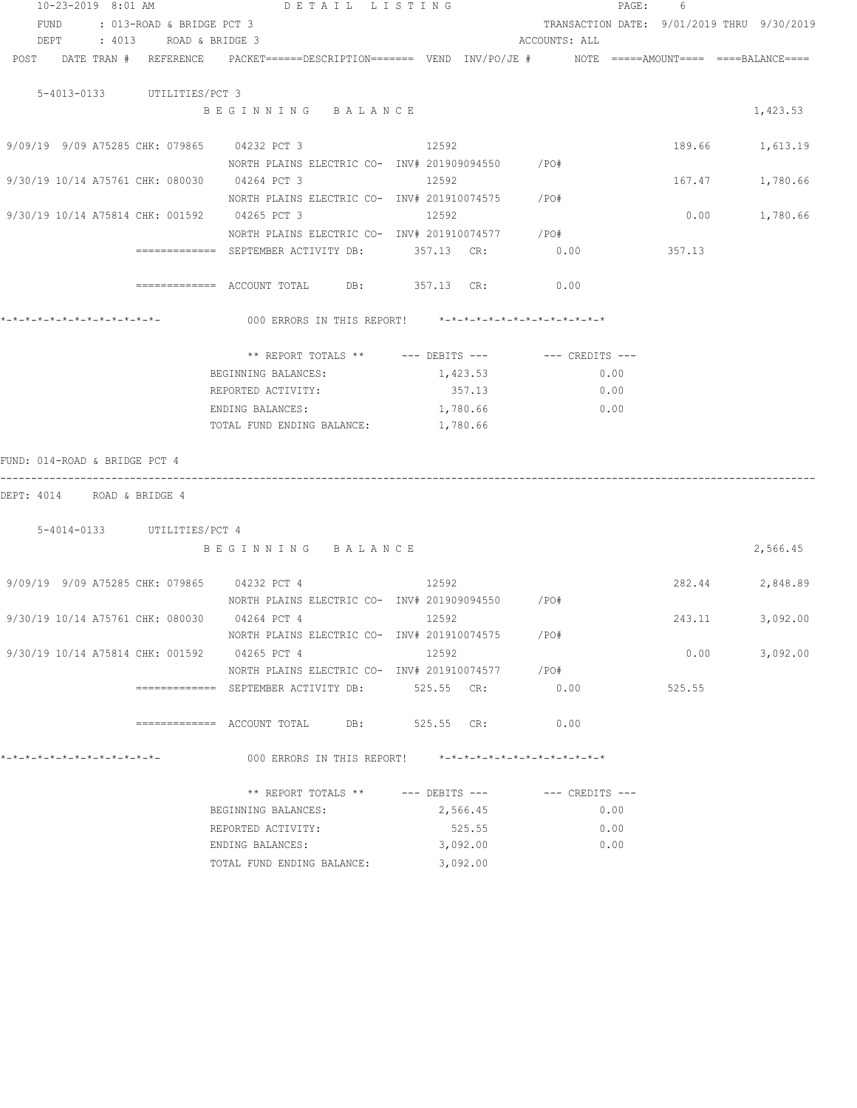| 10-23-2019 8:01 AM               |                           | DETAIL LISTING                                                                                                                                                                                                                                                                                                                   |              |          |               | $\mathtt{PAGE}$ : | 6                                          |          |
|----------------------------------|---------------------------|----------------------------------------------------------------------------------------------------------------------------------------------------------------------------------------------------------------------------------------------------------------------------------------------------------------------------------|--------------|----------|---------------|-------------------|--------------------------------------------|----------|
| FUND                             | : 013-ROAD & BRIDGE PCT 3 |                                                                                                                                                                                                                                                                                                                                  |              |          |               |                   | TRANSACTION DATE: 9/01/2019 THRU 9/30/2019 |          |
| DEPT                             |                           | : 4013 ROAD & BRIDGE 3                                                                                                                                                                                                                                                                                                           |              |          | ACCOUNTS: ALL |                   |                                            |          |
|                                  |                           | POST DATE TRAN # REFERENCE PACKET======DESCRIPTION======= VEND INV/PO/JE # NOTE =====AMOUNT==== ====BALANCE====                                                                                                                                                                                                                  |              |          |               |                   |                                            |          |
|                                  |                           |                                                                                                                                                                                                                                                                                                                                  |              |          |               |                   |                                            |          |
| 5-4013-0133 UTILITIES/PCT 3      |                           |                                                                                                                                                                                                                                                                                                                                  |              |          |               |                   |                                            |          |
|                                  |                           | BEGINNING BALANCE                                                                                                                                                                                                                                                                                                                |              |          |               |                   |                                            | 1,423.53 |
|                                  |                           |                                                                                                                                                                                                                                                                                                                                  |              |          |               |                   |                                            |          |
|                                  |                           | 9/09/19 9/09 A75285 CHK: 079865 04232 PCT 3                                                                                                                                                                                                                                                                                      | 12592        |          |               |                   | 189.66 1,613.19                            |          |
|                                  |                           | NORTH PLAINS ELECTRIC CO- INV# 201909094550 / PO#                                                                                                                                                                                                                                                                                |              |          |               |                   |                                            |          |
|                                  |                           | 9/30/19 10/14 A75761 CHK: 080030 04264 PCT 3                                                                                                                                                                                                                                                                                     | 12592        |          |               |                   | 167.47                                     | 1,780.66 |
|                                  |                           | NORTH PLAINS ELECTRIC CO- INV# 201910074575 / PO#                                                                                                                                                                                                                                                                                |              |          |               |                   |                                            |          |
|                                  |                           | 9/30/19 10/14 A75814 CHK: 001592 04265 PCT 3                                                                                                                                                                                                                                                                                     | 12592        |          |               |                   | 0.00                                       | 1,780.66 |
|                                  |                           | NORTH PLAINS ELECTRIC CO- INV# 201910074577 / PO#                                                                                                                                                                                                                                                                                |              |          |               |                   |                                            |          |
|                                  |                           | ============= SEPTEMBER ACTIVITY DB: 357.13 CR:                                                                                                                                                                                                                                                                                  |              |          | 0.00          |                   | 357.13                                     |          |
|                                  |                           |                                                                                                                                                                                                                                                                                                                                  |              |          |               |                   |                                            |          |
|                                  |                           | ============ ACCOUNT TOTAL DB: 357.13 CR:                                                                                                                                                                                                                                                                                        |              |          | 0.00          |                   |                                            |          |
|                                  |                           |                                                                                                                                                                                                                                                                                                                                  |              |          |               |                   |                                            |          |
| *_*_*_*_*_*_*_*_*_*_*_*_*_*_*_   |                           | 000 ERRORS IN THIS REPORT! *-*-*-*-*-*-*-*-*-*-*-*-*-*-                                                                                                                                                                                                                                                                          |              |          |               |                   |                                            |          |
|                                  |                           |                                                                                                                                                                                                                                                                                                                                  |              |          |               |                   |                                            |          |
|                                  |                           | ** REPORT TOTALS ** --- DEBITS --- -- -- CREDITS ---                                                                                                                                                                                                                                                                             |              |          |               |                   |                                            |          |
|                                  |                           | BEGINNING BALANCES:                                                                                                                                                                                                                                                                                                              |              | 1,423.53 |               | 0.00              |                                            |          |
|                                  |                           | REPORTED ACTIVITY:                                                                                                                                                                                                                                                                                                               |              | 357.13   | 0.00          |                   |                                            |          |
|                                  |                           | ENDING BALANCES:                                                                                                                                                                                                                                                                                                                 |              | 1,780.66 |               | 0.00              |                                            |          |
|                                  |                           | TOTAL FUND ENDING BALANCE:                                                                                                                                                                                                                                                                                                       |              | 1,780.66 |               |                   |                                            |          |
|                                  |                           |                                                                                                                                                                                                                                                                                                                                  |              |          |               |                   |                                            |          |
| FUND: 014-ROAD & BRIDGE PCT 4    |                           |                                                                                                                                                                                                                                                                                                                                  |              |          |               |                   |                                            |          |
|                                  |                           |                                                                                                                                                                                                                                                                                                                                  |              |          |               |                   |                                            |          |
| DEPT: 4014 ROAD & BRIDGE 4       |                           |                                                                                                                                                                                                                                                                                                                                  |              |          |               |                   |                                            |          |
|                                  |                           |                                                                                                                                                                                                                                                                                                                                  |              |          |               |                   |                                            |          |
|                                  |                           |                                                                                                                                                                                                                                                                                                                                  |              |          |               |                   |                                            |          |
| 5-4014-0133 UTILITIES/PCT 4      |                           |                                                                                                                                                                                                                                                                                                                                  |              |          |               |                   |                                            |          |
|                                  |                           | BEGINNING BALANCE                                                                                                                                                                                                                                                                                                                |              |          |               |                   |                                            | 2,566.45 |
|                                  |                           |                                                                                                                                                                                                                                                                                                                                  |              |          |               |                   |                                            |          |
|                                  |                           | 9/09/19 9/09 A75285 CHK: 079865 04232 PCT 4                                                                                                                                                                                                                                                                                      | 12592        |          |               |                   | 282.44                                     | 2,848.89 |
|                                  |                           | NORTH PLAINS ELECTRIC CO- INV# 201909094550 / PO#                                                                                                                                                                                                                                                                                |              |          |               |                   |                                            |          |
|                                  |                           | 9/30/19 10/14 A75761 CHK: 080030 04264 PCT 4                                                                                                                                                                                                                                                                                     | 12592        |          |               |                   | 243.11                                     | 3,092.00 |
|                                  |                           | NORTH PLAINS ELECTRIC CO- INV# 201910074575                                                                                                                                                                                                                                                                                      |              |          | /PO#          |                   |                                            |          |
| 9/30/19 10/14 A75814 CHK: 001592 |                           | 04265 PCT 4                                                                                                                                                                                                                                                                                                                      | 12592        |          |               |                   | 0.00                                       | 3,092,00 |
|                                  |                           | NORTH PLAINS ELECTRIC CO- INV# 201910074577                                                                                                                                                                                                                                                                                      |              |          | /PO#          |                   |                                            |          |
|                                  |                           |                                                                                                                                                                                                                                                                                                                                  | 525.55 CR:   |          | 0.00          |                   | 525.55                                     |          |
|                                  |                           |                                                                                                                                                                                                                                                                                                                                  |              |          |               |                   |                                            |          |
|                                  |                           | $=$ $=$ $=$ $=$ $=$ $=$ $\infty$ $\infty$ $\infty$ $\infty$ $\infty$ $\infty$ $\infty$ $\infty$ $\infty$ $\infty$ $\infty$ $\infty$ $\infty$ $\infty$ $\infty$ $\infty$ $\infty$ $\infty$ $\infty$ $\infty$ $\infty$ $\infty$ $\infty$ $\infty$ $\infty$ $\infty$ $\infty$ $\infty$ $\infty$ $\infty$ $\infty$ $\infty$ $\infty$ | $525.55$ CR: |          | 0.00          |                   |                                            |          |
|                                  |                           |                                                                                                                                                                                                                                                                                                                                  |              |          |               |                   |                                            |          |
| *-*-*-*-*-*-*-*-*-*-*-*-*-*-     |                           | 000 ERRORS IN THIS REPORT! *-*-*-*-*-*-*-*-*-*-*-*-*-*-                                                                                                                                                                                                                                                                          |              |          |               |                   |                                            |          |
|                                  |                           |                                                                                                                                                                                                                                                                                                                                  |              |          |               |                   |                                            |          |
|                                  |                           | ** REPORT TOTALS ** --- DEBITS --- -- CREDITS ---                                                                                                                                                                                                                                                                                |              |          |               |                   |                                            |          |
|                                  |                           | BEGINNING BALANCES:                                                                                                                                                                                                                                                                                                              |              | 2,566.45 |               | 0.00              |                                            |          |
|                                  |                           | REPORTED ACTIVITY:                                                                                                                                                                                                                                                                                                               |              | 525.55   |               | 0.00              |                                            |          |
|                                  |                           | ENDING BALANCES:                                                                                                                                                                                                                                                                                                                 |              | 3,092.00 |               | 0.00              |                                            |          |

TOTAL FUND ENDING BALANCE: 3,092.00